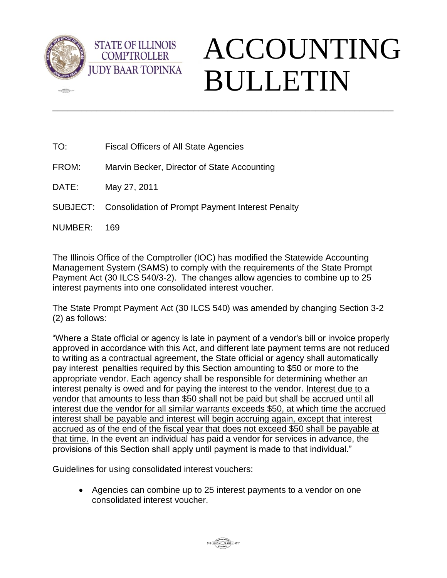

**dED** 

## ACCOUNTING BULLETIN

TO: Fiscal Officers of All State Agencies

**STATE OF ILLINOIS COMPTROLLER** 

- FROM: Marvin Becker, Director of State Accounting
- DATE: May 27, 2011
- SUBJECT: Consolidation of Prompt Payment Interest Penalty
- NUMBER: 169

The Illinois Office of the Comptroller (IOC) has modified the Statewide Accounting Management System (SAMS) to comply with the requirements of the State Prompt Payment Act (30 ILCS 540/3-2). The changes allow agencies to combine up to 25 interest payments into one consolidated interest voucher.

\_\_\_\_\_\_\_\_\_\_\_\_\_\_\_\_\_\_\_\_\_\_\_\_\_\_\_\_\_\_\_\_\_\_\_\_\_\_\_\_\_\_\_\_\_\_\_\_\_\_\_\_\_\_\_\_\_\_\_\_\_\_\_\_\_\_\_\_\_\_

The State Prompt Payment Act (30 ILCS 540) was amended by changing Section 3-2 (2) as follows:

"Where a State official or agency is late in payment of a vendor's bill or invoice properly approved in accordance with this Act, and different late payment terms are not reduced to writing as a contractual agreement, the State official or agency shall automatically pay interest penalties required by this Section amounting to \$50 or more to the appropriate vendor. Each agency shall be responsible for determining whether an interest penalty is owed and for paying the interest to the vendor. Interest due to a vendor that amounts to less than \$50 shall not be paid but shall be accrued until all interest due the vendor for all similar warrants exceeds \$50, at which time the accrued interest shall be payable and interest will begin accruing again, except that interest accrued as of the end of the fiscal year that does not exceed \$50 shall be payable at that time. In the event an individual has paid a vendor for services in advance, the provisions of this Section shall apply until payment is made to that individual."

Guidelines for using consolidated interest vouchers:

 Agencies can combine up to 25 interest payments to a vendor on one consolidated interest voucher.